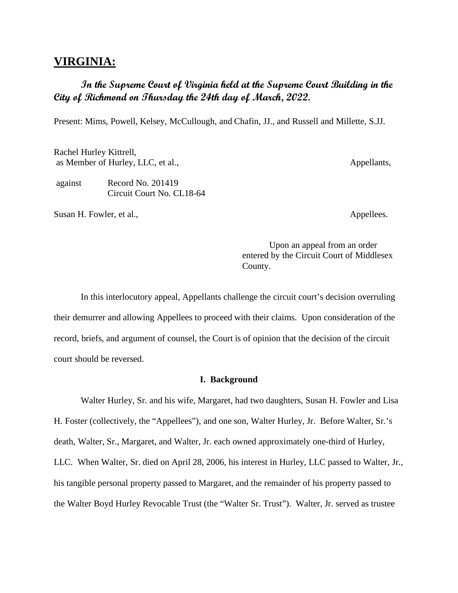## **VIRGINIA:**

## **In the Supreme Court of Virginia held at the Supreme Court Building in the City of Richmond on Thursday the 24th day of March, 2022.**

Present: Mims, Powell, Kelsey, McCullough, and Chafin, JJ., and Russell and Millette, S.JJ.

Rachel Hurley Kittrell, as Member of Hurley, LLC, et al., Appellants,

against Record No. 201419 Circuit Court No. CL18-64

Susan H. Fowler, et al., Appellees.

Upon an appeal from an order entered by the Circuit Court of Middlesex County.

In this interlocutory appeal, Appellants challenge the circuit court's decision overruling their demurrer and allowing Appellees to proceed with their claims. Upon consideration of the record, briefs, and argument of counsel, the Court is of opinion that the decision of the circuit court should be reversed.

## **I. Background**

Walter Hurley, Sr. and his wife, Margaret, had two daughters, Susan H. Fowler and Lisa H. Foster (collectively, the "Appellees"), and one son, Walter Hurley, Jr. Before Walter, Sr.'s death, Walter, Sr., Margaret, and Walter, Jr. each owned approximately one-third of Hurley, LLC. When Walter, Sr. died on April 28, 2006, his interest in Hurley, LLC passed to Walter, Jr., his tangible personal property passed to Margaret, and the remainder of his property passed to the Walter Boyd Hurley Revocable Trust (the "Walter Sr. Trust"). Walter, Jr. served as trustee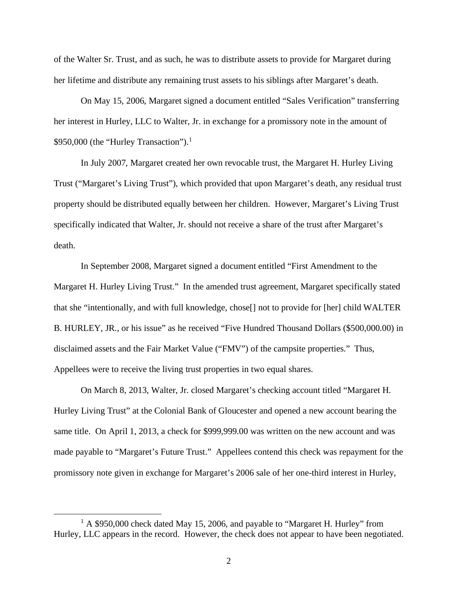of the Walter Sr. Trust, and as such, he was to distribute assets to provide for Margaret during her lifetime and distribute any remaining trust assets to his siblings after Margaret's death.

On May 15, 2006, Margaret signed a document entitled "Sales Verification" transferring her interest in Hurley, LLC to Walter, Jr. in exchange for a promissory note in the amount of \$950,000 (the "Hurley Transaction").<sup>[1](#page-1-0)</sup>

In July 2007, Margaret created her own revocable trust, the Margaret H. Hurley Living Trust ("Margaret's Living Trust"), which provided that upon Margaret's death, any residual trust property should be distributed equally between her children. However, Margaret's Living Trust specifically indicated that Walter, Jr. should not receive a share of the trust after Margaret's death.

In September 2008, Margaret signed a document entitled "First Amendment to the Margaret H. Hurley Living Trust." In the amended trust agreement, Margaret specifically stated that she "intentionally, and with full knowledge, chose[] not to provide for [her] child WALTER B. HURLEY, JR., or his issue" as he received "Five Hundred Thousand Dollars (\$500,000.00) in disclaimed assets and the Fair Market Value ("FMV") of the campsite properties." Thus, Appellees were to receive the living trust properties in two equal shares.

On March 8, 2013, Walter, Jr. closed Margaret's checking account titled "Margaret H. Hurley Living Trust" at the Colonial Bank of Gloucester and opened a new account bearing the same title. On April 1, 2013, a check for \$999,999.00 was written on the new account and was made payable to "Margaret's Future Trust." Appellees contend this check was repayment for the promissory note given in exchange for Margaret's 2006 sale of her one-third interest in Hurley,

<span id="page-1-0"></span> $1 A $950,000$  check dated May 15, 2006, and payable to "Margaret H. Hurley" from Hurley, LLC appears in the record. However, the check does not appear to have been negotiated.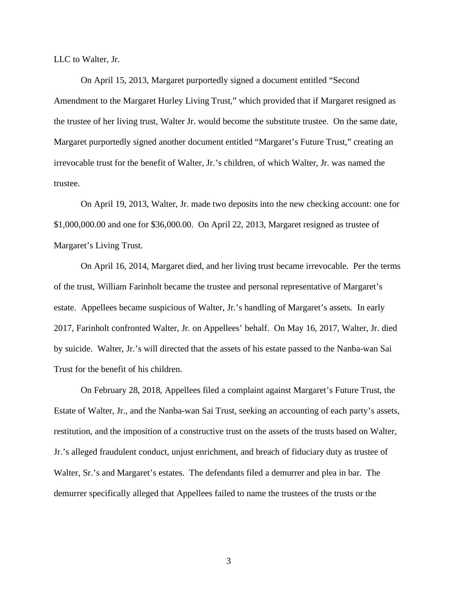LLC to Walter, Jr.

On April 15, 2013, Margaret purportedly signed a document entitled "Second Amendment to the Margaret Hurley Living Trust," which provided that if Margaret resigned as the trustee of her living trust, Walter Jr. would become the substitute trustee. On the same date, Margaret purportedly signed another document entitled "Margaret's Future Trust," creating an irrevocable trust for the benefit of Walter, Jr.'s children, of which Walter, Jr. was named the trustee.

On April 19, 2013, Walter, Jr. made two deposits into the new checking account: one for \$1,000,000.00 and one for \$36,000.00. On April 22, 2013, Margaret resigned as trustee of Margaret's Living Trust.

On April 16, 2014, Margaret died, and her living trust became irrevocable. Per the terms of the trust, William Farinholt became the trustee and personal representative of Margaret's estate. Appellees became suspicious of Walter, Jr.'s handling of Margaret's assets. In early 2017, Farinholt confronted Walter, Jr. on Appellees' behalf. On May 16, 2017, Walter, Jr. died by suicide. Walter, Jr.'s will directed that the assets of his estate passed to the Nanba-wan Sai Trust for the benefit of his children.

On February 28, 2018, Appellees filed a complaint against Margaret's Future Trust, the Estate of Walter, Jr., and the Nanba-wan Sai Trust, seeking an accounting of each party's assets, restitution, and the imposition of a constructive trust on the assets of the trusts based on Walter, Jr.'s alleged fraudulent conduct, unjust enrichment, and breach of fiduciary duty as trustee of Walter, Sr.'s and Margaret's estates. The defendants filed a demurrer and plea in bar. The demurrer specifically alleged that Appellees failed to name the trustees of the trusts or the

3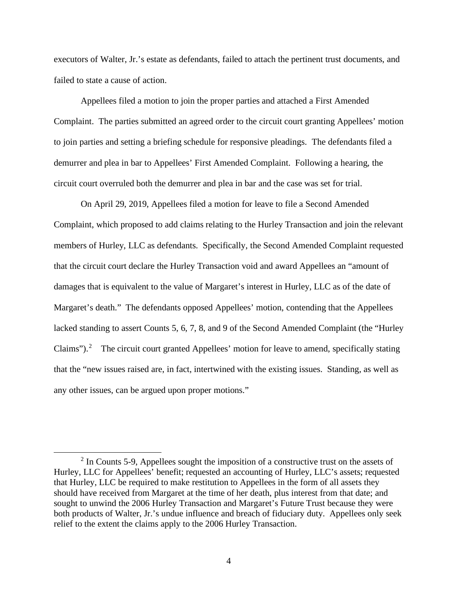executors of Walter, Jr.'s estate as defendants, failed to attach the pertinent trust documents, and failed to state a cause of action.

Appellees filed a motion to join the proper parties and attached a First Amended Complaint. The parties submitted an agreed order to the circuit court granting Appellees' motion to join parties and setting a briefing schedule for responsive pleadings. The defendants filed a demurrer and plea in bar to Appellees' First Amended Complaint. Following a hearing, the circuit court overruled both the demurrer and plea in bar and the case was set for trial.

On April 29, 2019, Appellees filed a motion for leave to file a Second Amended Complaint, which proposed to add claims relating to the Hurley Transaction and join the relevant members of Hurley, LLC as defendants. Specifically, the Second Amended Complaint requested that the circuit court declare the Hurley Transaction void and award Appellees an "amount of damages that is equivalent to the value of Margaret's interest in Hurley, LLC as of the date of Margaret's death." The defendants opposed Appellees' motion, contending that the Appellees lacked standing to assert Counts 5, 6, 7, 8, and 9 of the Second Amended Complaint (the "Hurley Claims").<sup>[2](#page-3-0)</sup> The circuit court granted Appellees' motion for leave to amend, specifically stating that the "new issues raised are, in fact, intertwined with the existing issues. Standing, as well as any other issues, can be argued upon proper motions."

<span id="page-3-0"></span> $2 \text{ In}$  Counts 5-9, Appellees sought the imposition of a constructive trust on the assets of Hurley, LLC for Appellees' benefit; requested an accounting of Hurley, LLC's assets; requested that Hurley, LLC be required to make restitution to Appellees in the form of all assets they should have received from Margaret at the time of her death, plus interest from that date; and sought to unwind the 2006 Hurley Transaction and Margaret's Future Trust because they were both products of Walter, Jr.'s undue influence and breach of fiduciary duty. Appellees only seek relief to the extent the claims apply to the 2006 Hurley Transaction.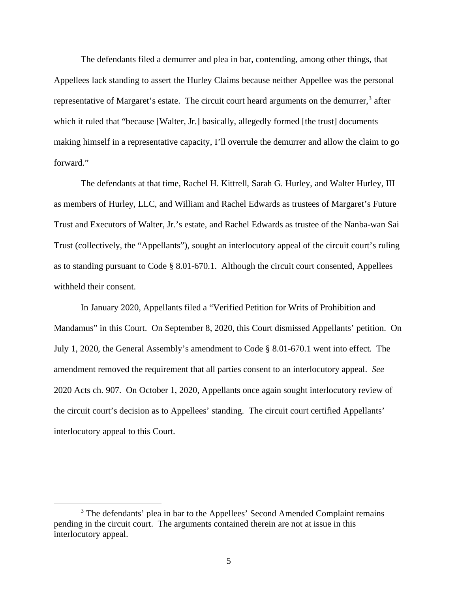The defendants filed a demurrer and plea in bar, contending, among other things, that Appellees lack standing to assert the Hurley Claims because neither Appellee was the personal representative of Margaret's estate. The circuit court heard arguments on the demurrer,<sup>[3](#page-4-0)</sup> after which it ruled that "because [Walter, Jr.] basically, allegedly formed [the trust] documents making himself in a representative capacity, I'll overrule the demurrer and allow the claim to go forward."

The defendants at that time, Rachel H. Kittrell, Sarah G. Hurley, and Walter Hurley, III as members of Hurley, LLC, and William and Rachel Edwards as trustees of Margaret's Future Trust and Executors of Walter, Jr.'s estate, and Rachel Edwards as trustee of the Nanba-wan Sai Trust (collectively, the "Appellants"), sought an interlocutory appeal of the circuit court's ruling as to standing pursuant to Code § 8.01-670.1. Although the circuit court consented, Appellees withheld their consent.

In January 2020, Appellants filed a "Verified Petition for Writs of Prohibition and Mandamus" in this Court. On September 8, 2020, this Court dismissed Appellants' petition. On July 1, 2020, the General Assembly's amendment to Code § 8.01-670.1 went into effect. The amendment removed the requirement that all parties consent to an interlocutory appeal. *See* 2020 Acts ch. 907. On October 1, 2020, Appellants once again sought interlocutory review of the circuit court's decision as to Appellees' standing. The circuit court certified Appellants' interlocutory appeal to this Court.

<span id="page-4-0"></span><sup>&</sup>lt;sup>3</sup> The defendants' plea in bar to the Appellees' Second Amended Complaint remains pending in the circuit court. The arguments contained therein are not at issue in this interlocutory appeal.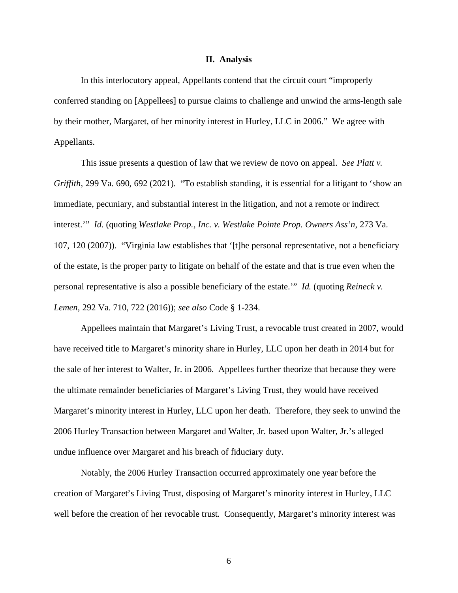## **II. Analysis**

In this interlocutory appeal, Appellants contend that the circuit court "improperly conferred standing on [Appellees] to pursue claims to challenge and unwind the arms-length sale by their mother, Margaret, of her minority interest in Hurley, LLC in 2006." We agree with Appellants.

This issue presents a question of law that we review de novo on appeal. *See Platt v. Griffith*, 299 Va. 690, 692 (2021). "To establish standing, it is essential for a litigant to 'show an immediate, pecuniary, and substantial interest in the litigation, and not a remote or indirect interest.'" *Id.* (quoting *Westlake Prop., Inc. v. Westlake Pointe Prop. Owners Ass'n*, 273 Va. 107, 120 (2007)). "Virginia law establishes that '[t]he personal representative, not a beneficiary of the estate, is the proper party to litigate on behalf of the estate and that is true even when the personal representative is also a possible beneficiary of the estate.'" *Id.* (quoting *Reineck v. Lemen*, 292 Va. 710, 722 (2016)); *see also* Code § 1-234.

Appellees maintain that Margaret's Living Trust, a revocable trust created in 2007, would have received title to Margaret's minority share in Hurley, LLC upon her death in 2014 but for the sale of her interest to Walter, Jr. in 2006. Appellees further theorize that because they were the ultimate remainder beneficiaries of Margaret's Living Trust, they would have received Margaret's minority interest in Hurley, LLC upon her death. Therefore, they seek to unwind the 2006 Hurley Transaction between Margaret and Walter, Jr. based upon Walter, Jr.'s alleged undue influence over Margaret and his breach of fiduciary duty.

Notably, the 2006 Hurley Transaction occurred approximately one year before the creation of Margaret's Living Trust, disposing of Margaret's minority interest in Hurley, LLC well before the creation of her revocable trust. Consequently, Margaret's minority interest was

6